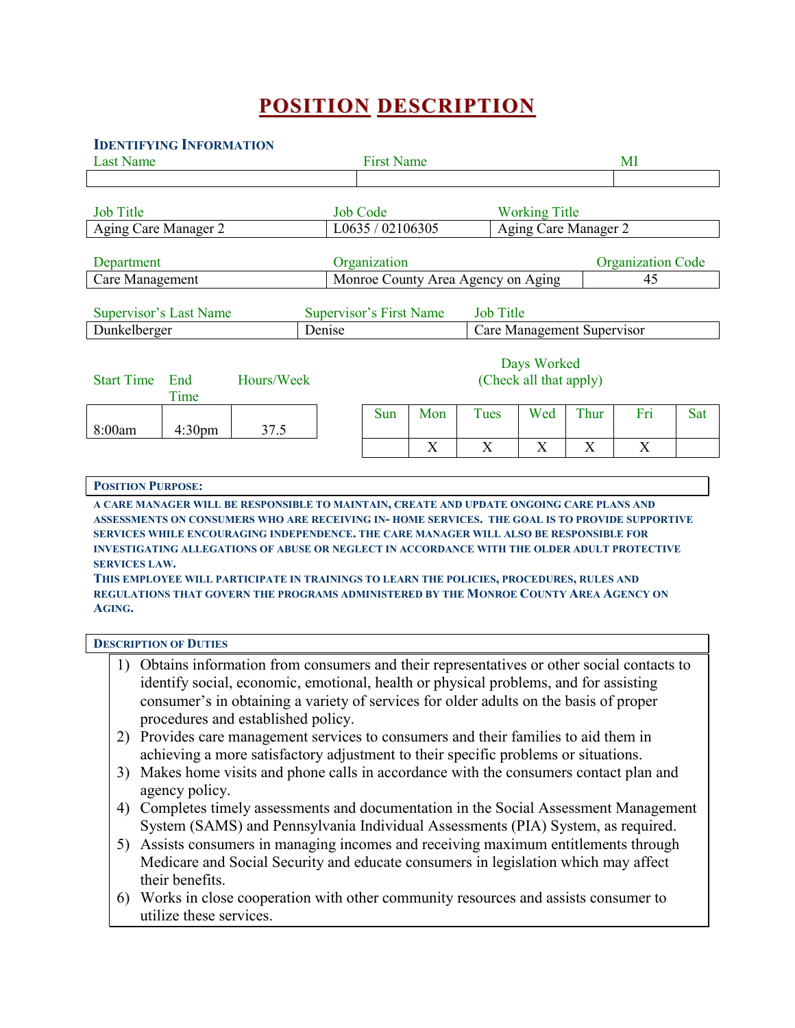# **POSITION DESCRIPTION**

#### **IDENTIFYING INFORMATION**

| <b>Last Name</b>                                                                                                                                                                                                       |                    |            | <b>First Name</b>       |                                    |     |      |                                       | MI   |     |     |  |
|------------------------------------------------------------------------------------------------------------------------------------------------------------------------------------------------------------------------|--------------------|------------|-------------------------|------------------------------------|-----|------|---------------------------------------|------|-----|-----|--|
|                                                                                                                                                                                                                        |                    |            |                         |                                    |     |      |                                       |      |     |     |  |
| <b>Job Title</b>                                                                                                                                                                                                       |                    |            | <b>Job Code</b>         |                                    |     |      | <b>Working Title</b>                  |      |     |     |  |
| Aging Care Manager 2                                                                                                                                                                                                   |                    |            | L0635 / 02106305        |                                    |     |      | Aging Care Manager 2                  |      |     |     |  |
| Department                                                                                                                                                                                                             |                    |            | Organization            |                                    |     |      | <b>Organization Code</b>              |      |     |     |  |
| Care Management                                                                                                                                                                                                        |                    |            |                         | Monroe County Area Agency on Aging |     |      |                                       | 45   |     |     |  |
| Supervisor's Last Name                                                                                                                                                                                                 |                    |            | Supervisor's First Name |                                    |     |      | <b>Job Title</b>                      |      |     |     |  |
| Dunkelberger<br>Denise                                                                                                                                                                                                 |                    |            |                         | Care Management Supervisor         |     |      |                                       |      |     |     |  |
| <b>Start Time</b>                                                                                                                                                                                                      | End<br>Time        | Hours/Week |                         |                                    |     |      | Days Worked<br>(Check all that apply) |      |     |     |  |
| 8:00am                                                                                                                                                                                                                 | 4:30 <sub>pm</sub> | 37.5       |                         | Sun                                | Mon | Tues | Wed                                   | Thur | Fri | Sat |  |
|                                                                                                                                                                                                                        |                    |            |                         |                                    | X   | X    | X                                     | X    | X   |     |  |
| <b>POSITION PURPOSE:</b><br>A CARE MANAGER WILL BE RESPONSIBLE TO MAINTAIN, CREATE AND UPDATE ONGOING CARE PLANS AND<br>ASSESSMENTS ON CONSUMERS WHO ARE RECEIVING IN-HOME SERVICES. THE GOAL IS TO PROVIDE SUPPORTIVE |                    |            |                         |                                    |     |      |                                       |      |     |     |  |

**ASSESSMENTS ON CONSUMERS WHO ARE RECEIVING IN- HOME SERVICES. THE GOAL IS TO PROVIDE SUPPORTIVE SERVICES WHILE ENCOURAGING INDEPENDENCE. THE CARE MANAGER WILL ALSO BE RESPONSIBLE FOR INVESTIGATING ALLEGATIONS OF ABUSE OR NEGLECT IN ACCORDANCE WITH THE OLDER ADULT PROTECTIVE SERVICES LAW.** 

**THIS EMPLOYEE WILL PARTICIPATE IN TRAININGS TO LEARN THE POLICIES, PROCEDURES, RULES AND REGULATIONS THAT GOVERN THE PROGRAMS ADMINISTERED BY THE MONROE COUNTY AREA AGENCY ON AGING.** 

#### **DESCRIPTION OF DUTIES**

- 1) Obtains information from consumers and their representatives or other social contacts to identify social, economic, emotional, health or physical problems, and for assisting consumer's in obtaining a variety of services for older adults on the basis of proper procedures and established policy.
- 2) Provides care management services to consumers and their families to aid them in achieving a more satisfactory adjustment to their specific problems or situations.
- 3) Makes home visits and phone calls in accordance with the consumers contact plan and agency policy.
- 4) Completes timely assessments and documentation in the Social Assessment Management System (SAMS) and Pennsylvania Individual Assessments (PIA) System, as required.
- 5) Assists consumers in managing incomes and receiving maximum entitlements through Medicare and Social Security and educate consumers in legislation which may affect their benefits.
- 6) Works in close cooperation with other community resources and assists consumer to utilize these services.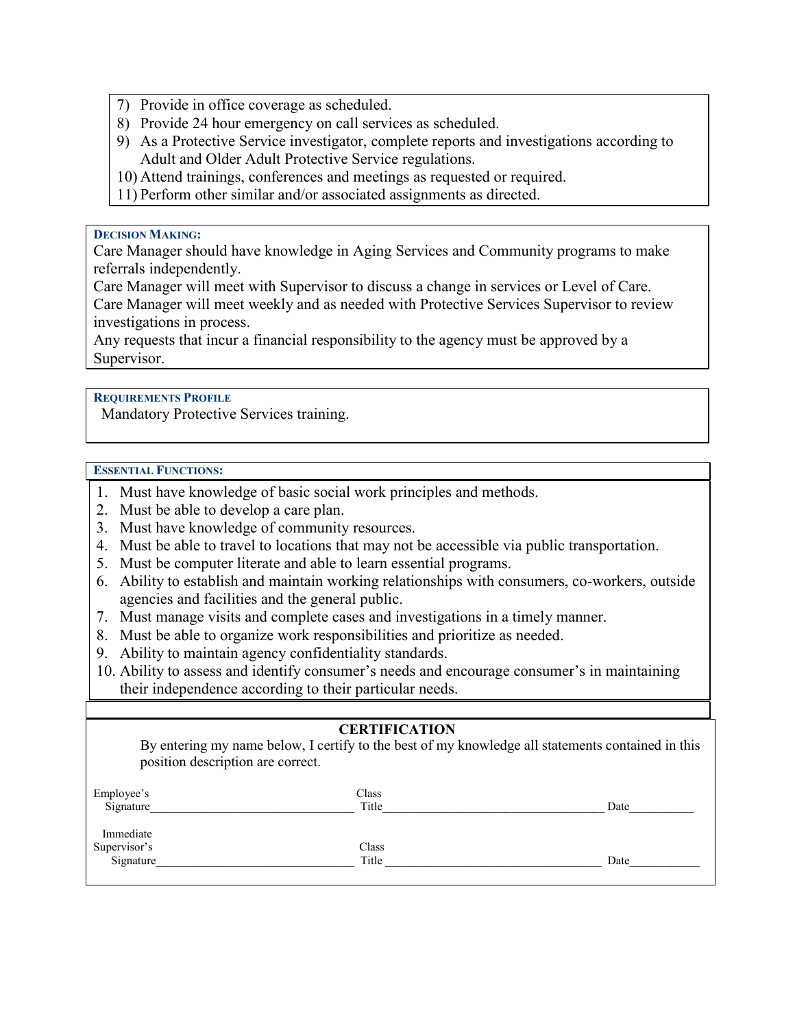- 7) Provide in office coverage as scheduled.
- 8) Provide 24 hour emergency on call services as scheduled.
- 9) As a Protective Service investigator, complete reports and investigations according to Adult and Older Adult Protective Service regulations.
- 10) Attend trainings, conferences and meetings as requested or required.
- 11) Perform other similar and/or associated assignments as directed.

#### **DECISION MAKING:**

Care Manager should have knowledge in Aging Services and Community programs to make referrals independently.

Care Manager will meet with Supervisor to discuss a change in services or Level of Care. Care Manager will meet weekly and as needed with Protective Services Supervisor to review investigations in process.

Any requests that incur a financial responsibility to the agency must be approved by a Supervisor.

## **REQUIREMENTS PROFILE**

Mandatory Protective Services training.

#### **ESSENTIAL FUNCTIONS:**

- 1. Must have knowledge of basic social work principles and methods.
- 2. Must be able to develop a care plan.
- 3. Must have knowledge of community resources.
- 4. Must be able to travel to locations that may not be accessible via public transportation.
- 5. Must be computer literate and able to learn essential programs.
- 6. Ability to establish and maintain working relationships with consumers, co-workers, outside agencies and facilities and the general public.
- 7. Must manage visits and complete cases and investigations in a timely manner.
- 8. Must be able to organize work responsibilities and prioritize as needed.
- 9. Ability to maintain agency confidentiality standards.
- 10. Ability to assess and identify consumer's needs and encourage consumer's in maintaining their independence according to their particular needs.

# **CERTIFICATION**

By entering my name below, I certify to the best of my knowledge all statements contained in this position description are correct.

| Employee's   | Class |      |
|--------------|-------|------|
| Signature    | Title | Date |
| Immediate    |       |      |
| Supervisor's | Class |      |
| Signature    | Title | Date |
|              |       |      |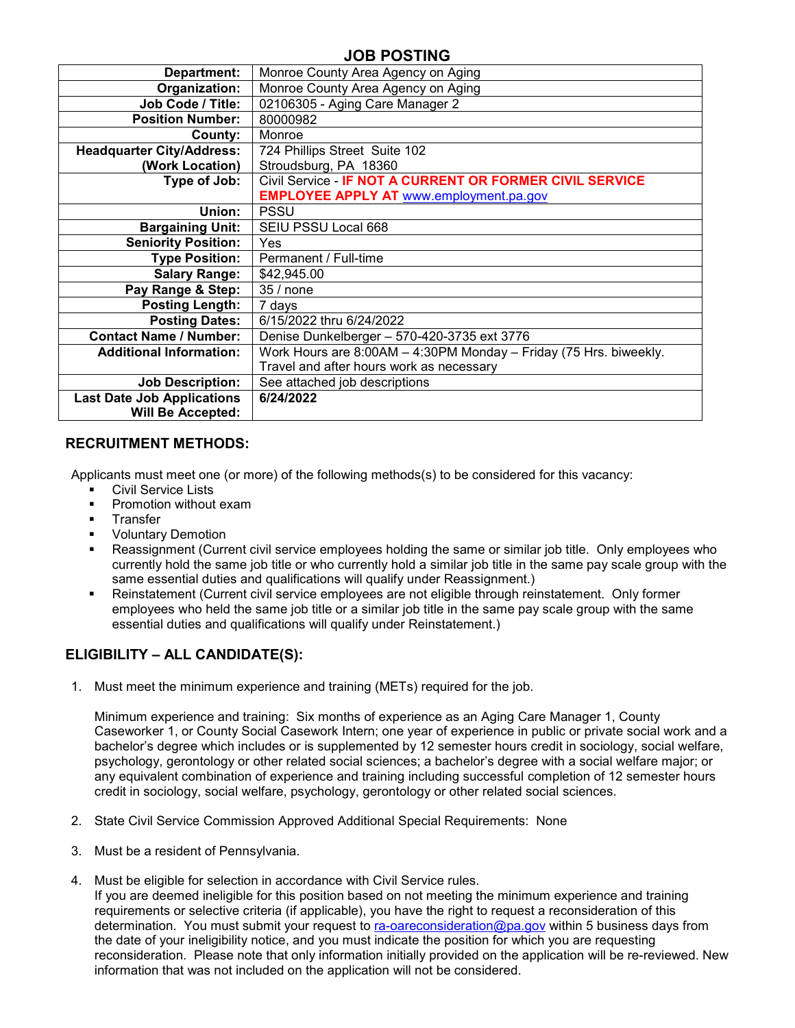# **JOB POSTING**

| Department:                       | Monroe County Area Agency on Aging                                |
|-----------------------------------|-------------------------------------------------------------------|
| Organization:                     | Monroe County Area Agency on Aging                                |
| Job Code / Title:                 | 02106305 - Aging Care Manager 2                                   |
| <b>Position Number:</b>           | 80000982                                                          |
| County:                           | Monroe                                                            |
| <b>Headquarter City/Address:</b>  | 724 Phillips Street Suite 102                                     |
| (Work Location)                   | Stroudsburg, PA 18360                                             |
| Type of Job:                      | Civil Service - IF NOT A CURRENT OR FORMER CIVIL SERVICE          |
|                                   | <b>EMPLOYEE APPLY AT www.employment.pa.gov</b>                    |
| Union:                            | <b>PSSU</b>                                                       |
| <b>Bargaining Unit:</b>           | SEIU PSSU Local 668                                               |
| <b>Seniority Position:</b>        | <b>Yes</b>                                                        |
| <b>Type Position:</b>             | Permanent / Full-time                                             |
| <b>Salary Range:</b>              | \$42,945.00                                                       |
| Pay Range & Step:                 | 35 / none                                                         |
| <b>Posting Length:</b>            | 7 days                                                            |
| <b>Posting Dates:</b>             | 6/15/2022 thru 6/24/2022                                          |
| <b>Contact Name / Number:</b>     | Denise Dunkelberger - 570-420-3735 ext 3776                       |
| <b>Additional Information:</b>    | Work Hours are 8:00AM - 4:30PM Monday - Friday (75 Hrs. biweekly. |
|                                   | Travel and after hours work as necessary                          |
| <b>Job Description:</b>           | See attached job descriptions                                     |
| <b>Last Date Job Applications</b> | 6/24/2022                                                         |
| <b>Will Be Accepted:</b>          |                                                                   |

#### **RECRUITMENT METHODS:**

Applicants must meet one (or more) of the following methods(s) to be considered for this vacancy:

- **Civil Service Lists**
- Promotion without exam
- **Transfer**
- Voluntary Demotion
- Reassignment (Current civil service employees holding the same or similar job title. Only employees who currently hold the same job title or who currently hold a similar job title in the same pay scale group with the same essential duties and qualifications will qualify under Reassignment.)
- Reinstatement (Current civil service employees are not eligible through reinstatement. Only former employees who held the same job title or a similar job title in the same pay scale group with the same essential duties and qualifications will qualify under Reinstatement.)

# **ELIGIBILITY – ALL CANDIDATE(S):**

1. Must meet the minimum experience and training (METs) required for the job.

Minimum experience and training: Six months of experience as an Aging Care Manager 1, County Caseworker 1, or County Social Casework Intern; one year of experience in public or private social work and a bachelor's degree which includes or is supplemented by 12 semester hours credit in sociology, social welfare, psychology, gerontology or other related social sciences; a bachelor's degree with a social welfare major; or any equivalent combination of experience and training including successful completion of 12 semester hours credit in sociology, social welfare, psychology, gerontology or other related social sciences.

- 2. State Civil Service Commission Approved Additional Special Requirements: None
- 3. Must be a resident of Pennsylvania.
- 4. Must be eligible for selection in accordance with Civil Service rules.

If you are deemed ineligible for this position based on not meeting the minimum experience and training requirements or selective criteria (if applicable), you have the right to request a reconsideration of this determination. You must submit your request to [ra-oareconsideration@pa.gov](mailto:ra-oareconsideration@pa.gov) within 5 business days from the date of your ineligibility notice, and you must indicate the position for which you are requesting reconsideration. Please note that only information initially provided on the application will be re-reviewed. New information that was not included on the application will not be considered.